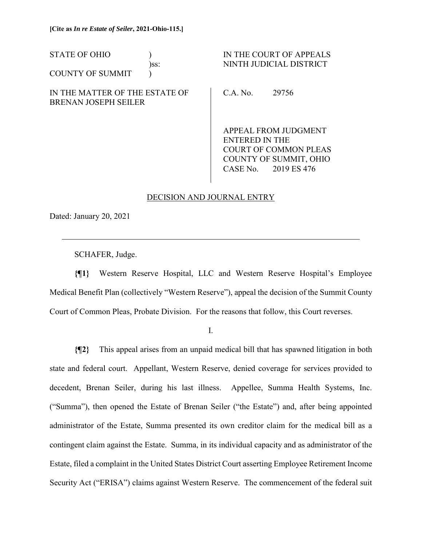| <b>STATE OF OHIO</b>                                   | )ss: |                                               | IN THE COURT OF APPEALS<br>NINTH JUDICIAL DISTRICT |
|--------------------------------------------------------|------|-----------------------------------------------|----------------------------------------------------|
| <b>COUNTY OF SUMMIT</b>                                |      |                                               |                                                    |
| IN THE MATTER OF THE ESTATE OF<br>BRENAN JOSEPH SEILER |      | C.A. No.                                      | 29756                                              |
|                                                        |      | APPEAL FROM JUDGMENT<br><b>ENTERED IN THE</b> |                                                    |
|                                                        |      |                                               | COURT OF COMMON PLEAS                              |

## DECISION AND JOURNAL ENTRY

COUNTY OF SUMMIT, OHIO CASE No. 2019 ES 476

Dated: January 20, 2021

 $\overline{a}$ 

SCHAFER, Judge.

**{¶1}** Western Reserve Hospital, LLC and Western Reserve Hospital's Employee Medical Benefit Plan (collectively "Western Reserve"), appeal the decision of the Summit County Court of Common Pleas, Probate Division. For the reasons that follow, this Court reverses.

I.

**{¶2}** This appeal arises from an unpaid medical bill that has spawned litigation in both state and federal court. Appellant, Western Reserve, denied coverage for services provided to decedent, Brenan Seiler, during his last illness. Appellee, Summa Health Systems, Inc. ("Summa"), then opened the Estate of Brenan Seiler ("the Estate") and, after being appointed administrator of the Estate, Summa presented its own creditor claim for the medical bill as a contingent claim against the Estate. Summa, in its individual capacity and as administrator of the Estate, filed a complaint in the United States District Court asserting Employee Retirement Income Security Act ("ERISA") claims against Western Reserve. The commencement of the federal suit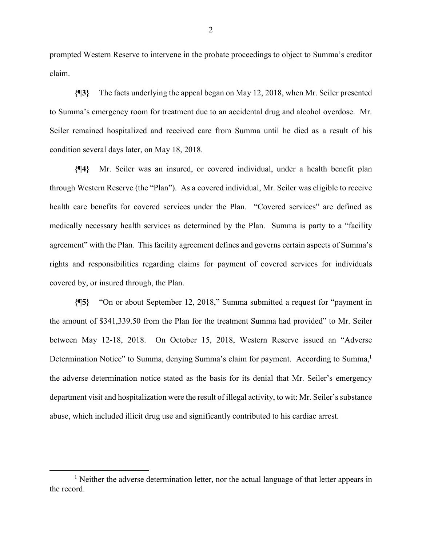prompted Western Reserve to intervene in the probate proceedings to object to Summa's creditor claim.

**{¶3}** The facts underlying the appeal began on May 12, 2018, when Mr. Seiler presented to Summa's emergency room for treatment due to an accidental drug and alcohol overdose. Mr. Seiler remained hospitalized and received care from Summa until he died as a result of his condition several days later, on May 18, 2018.

**{¶4}** Mr. Seiler was an insured, or covered individual, under a health benefit plan through Western Reserve (the "Plan"). As a covered individual, Mr. Seiler was eligible to receive health care benefits for covered services under the Plan. "Covered services" are defined as medically necessary health services as determined by the Plan. Summa is party to a "facility agreement" with the Plan. This facility agreement defines and governs certain aspects of Summa's rights and responsibilities regarding claims for payment of covered services for individuals covered by, or insured through, the Plan.

**{¶5}** "On or about September 12, 2018," Summa submitted a request for "payment in the amount of \$341,339.50 from the Plan for the treatment Summa had provided" to Mr. Seiler between May 12-18, 2018. On October 15, 2018, Western Reserve issued an "Adverse Determination Notice" to Summa, denying Summa's claim for payment. According to Summa, the adverse determination notice stated as the basis for its denial that Mr. Seiler's emergency department visit and hospitalization were the result of illegal activity, to wit: Mr. Seiler's substance abuse, which included illicit drug use and significantly contributed to his cardiac arrest.

 <sup>1</sup>  $<sup>1</sup>$  Neither the adverse determination letter, nor the actual language of that letter appears in</sup> the record.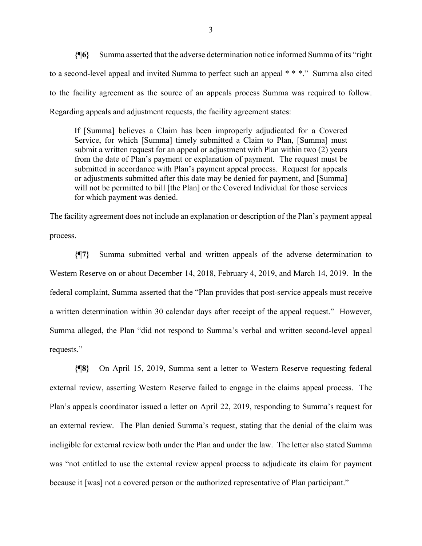**{¶6}** Summa asserted that the adverse determination notice informed Summa of its "right to a second-level appeal and invited Summa to perfect such an appeal \* \* \*." Summa also cited to the facility agreement as the source of an appeals process Summa was required to follow. Regarding appeals and adjustment requests, the facility agreement states:

If [Summa] believes a Claim has been improperly adjudicated for a Covered Service, for which [Summa] timely submitted a Claim to Plan, [Summa] must submit a written request for an appeal or adjustment with Plan within two (2) years from the date of Plan's payment or explanation of payment. The request must be submitted in accordance with Plan's payment appeal process. Request for appeals or adjustments submitted after this date may be denied for payment, and [Summa] will not be permitted to bill [the Plan] or the Covered Individual for those services for which payment was denied.

The facility agreement does not include an explanation or description of the Plan's payment appeal process.

**{¶7}** Summa submitted verbal and written appeals of the adverse determination to Western Reserve on or about December 14, 2018, February 4, 2019, and March 14, 2019. In the federal complaint, Summa asserted that the "Plan provides that post-service appeals must receive a written determination within 30 calendar days after receipt of the appeal request." However, Summa alleged, the Plan "did not respond to Summa's verbal and written second-level appeal requests."

**{¶8}** On April 15, 2019, Summa sent a letter to Western Reserve requesting federal external review, asserting Western Reserve failed to engage in the claims appeal process. The Plan's appeals coordinator issued a letter on April 22, 2019, responding to Summa's request for an external review. The Plan denied Summa's request, stating that the denial of the claim was ineligible for external review both under the Plan and under the law. The letter also stated Summa was "not entitled to use the external review appeal process to adjudicate its claim for payment because it [was] not a covered person or the authorized representative of Plan participant."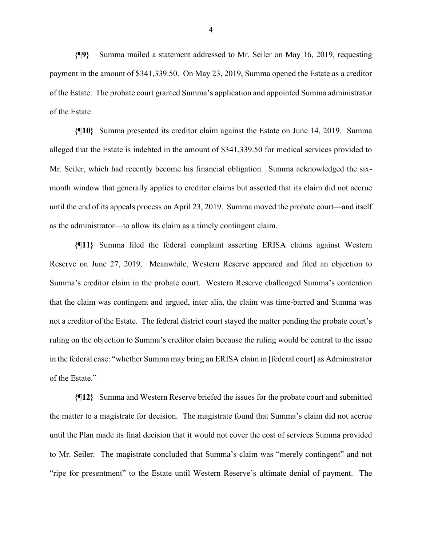**{¶9}** Summa mailed a statement addressed to Mr. Seiler on May 16, 2019, requesting payment in the amount of \$341,339.50. On May 23, 2019, Summa opened the Estate as a creditor of the Estate. The probate court granted Summa's application and appointed Summa administrator of the Estate.

**{¶10}** Summa presented its creditor claim against the Estate on June 14, 2019. Summa alleged that the Estate is indebted in the amount of \$341,339.50 for medical services provided to Mr. Seiler, which had recently become his financial obligation. Summa acknowledged the sixmonth window that generally applies to creditor claims but asserted that its claim did not accrue until the end of its appeals process on April 23, 2019. Summa moved the probate court—and itself as the administrator—to allow its claim as a timely contingent claim.

**{¶11}** Summa filed the federal complaint asserting ERISA claims against Western Reserve on June 27, 2019. Meanwhile, Western Reserve appeared and filed an objection to Summa's creditor claim in the probate court. Western Reserve challenged Summa's contention that the claim was contingent and argued, inter alia, the claim was time-barred and Summa was not a creditor of the Estate. The federal district court stayed the matter pending the probate court's ruling on the objection to Summa's creditor claim because the ruling would be central to the issue in the federal case: "whether Summa may bring an ERISA claim in [federal court] as Administrator of the Estate."

**{¶12}** Summa and Western Reserve briefed the issues for the probate court and submitted the matter to a magistrate for decision. The magistrate found that Summa's claim did not accrue until the Plan made its final decision that it would not cover the cost of services Summa provided to Mr. Seiler. The magistrate concluded that Summa's claim was "merely contingent" and not "ripe for presentment" to the Estate until Western Reserve's ultimate denial of payment. The

4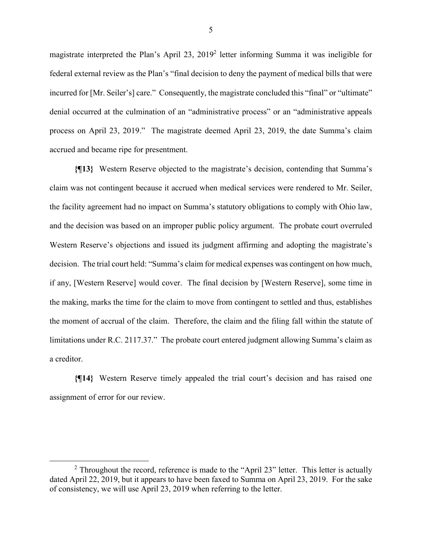magistrate interpreted the Plan's April 23, 2019<sup>2</sup> letter informing Summa it was ineligible for federal external review as the Plan's "final decision to deny the payment of medical bills that were incurred for [Mr. Seiler's] care." Consequently, the magistrate concluded this "final" or "ultimate" denial occurred at the culmination of an "administrative process" or an "administrative appeals process on April 23, 2019." The magistrate deemed April 23, 2019, the date Summa's claim accrued and became ripe for presentment.

**{¶13}** Western Reserve objected to the magistrate's decision, contending that Summa's claim was not contingent because it accrued when medical services were rendered to Mr. Seiler, the facility agreement had no impact on Summa's statutory obligations to comply with Ohio law, and the decision was based on an improper public policy argument. The probate court overruled Western Reserve's objections and issued its judgment affirming and adopting the magistrate's decision. The trial court held: "Summa's claim for medical expenses was contingent on how much, if any, [Western Reserve] would cover. The final decision by [Western Reserve], some time in the making, marks the time for the claim to move from contingent to settled and thus, establishes the moment of accrual of the claim. Therefore, the claim and the filing fall within the statute of limitations under R.C. 2117.37." The probate court entered judgment allowing Summa's claim as a creditor.

**{¶14}** Western Reserve timely appealed the trial court's decision and has raised one assignment of error for our review.

5

 $\frac{1}{2}$ <sup>2</sup> Throughout the record, reference is made to the "April 23" letter. This letter is actually dated April 22, 2019, but it appears to have been faxed to Summa on April 23, 2019. For the sake of consistency, we will use April 23, 2019 when referring to the letter.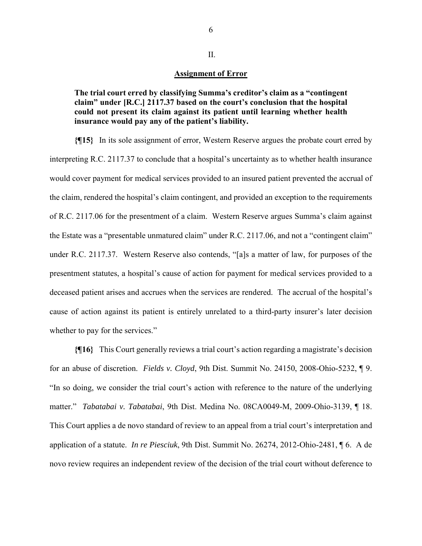## **Assignment of Error**

**The trial court erred by classifying Summa's creditor's claim as a "contingent claim" under [R.C.] 2117.37 based on the court's conclusion that the hospital could not present its claim against its patient until learning whether health insurance would pay any of the patient's liability.** 

**{¶15}** In its sole assignment of error, Western Reserve argues the probate court erred by interpreting R.C. 2117.37 to conclude that a hospital's uncertainty as to whether health insurance would cover payment for medical services provided to an insured patient prevented the accrual of the claim, rendered the hospital's claim contingent, and provided an exception to the requirements of R.C. 2117.06 for the presentment of a claim. Western Reserve argues Summa's claim against the Estate was a "presentable unmatured claim" under R.C. 2117.06, and not a "contingent claim" under R.C. 2117.37. Western Reserve also contends, "[a]s a matter of law, for purposes of the presentment statutes, a hospital's cause of action for payment for medical services provided to a deceased patient arises and accrues when the services are rendered. The accrual of the hospital's cause of action against its patient is entirely unrelated to a third-party insurer's later decision whether to pay for the services."

**{¶16}** This Court generally reviews a trial court's action regarding a magistrate's decision for an abuse of discretion. *Fields v. Cloyd*, 9th Dist. Summit No. 24150, 2008-Ohio-5232, ¶ 9. "In so doing, we consider the trial court's action with reference to the nature of the underlying matter." *Tabatabai v. Tabatabai*, 9th Dist. Medina No. 08CA0049-M, 2009-Ohio-3139, ¶ 18. This Court applies a de novo standard of review to an appeal from a trial court's interpretation and application of a statute. *In re Piesciuk*, 9th Dist. Summit No. 26274, 2012-Ohio-2481, ¶ 6. A de novo review requires an independent review of the decision of the trial court without deference to

II.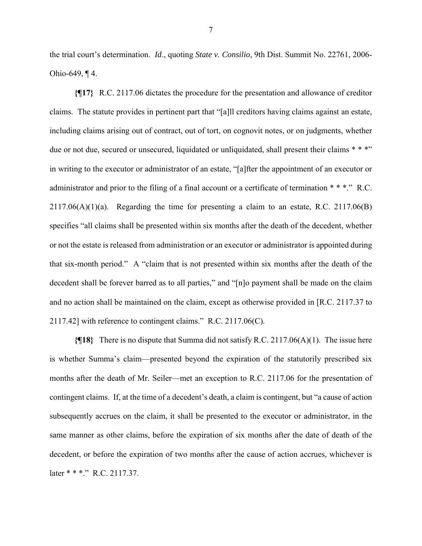the trial court's determination. *Id*., quoting *State v. Consilio*, 9th Dist. Summit No. 22761, 2006- Ohio-649, ¶ 4.

**{¶17}** R.C. 2117.06 dictates the procedure for the presentation and allowance of creditor claims. The statute provides in pertinent part that "[a]ll creditors having claims against an estate, including claims arising out of contract, out of tort, on cognovit notes, or on judgments, whether due or not due, secured or unsecured, liquidated or unliquidated, shall present their claims \* \* \*" in writing to the executor or administrator of an estate, "[a]fter the appointment of an executor or administrator and prior to the filing of a final account or a certificate of termination \* \* \*." R.C.  $2117.06(A)(1)(a)$ . Regarding the time for presenting a claim to an estate, R.C. 2117.06(B) specifies "all claims shall be presented within six months after the death of the decedent, whether or not the estate is released from administration or an executor or administrator is appointed during that six-month period." A "claim that is not presented within six months after the death of the decedent shall be forever barred as to all parties," and "[n]o payment shall be made on the claim and no action shall be maintained on the claim, except as otherwise provided in [R.C. 2117.37 to 2117.42] with reference to contingent claims." R.C. 2117.06(C).

**{¶18}** There is no dispute that Summa did not satisfy R.C. 2117.06(A)(1). The issue here is whether Summa's claim—presented beyond the expiration of the statutorily prescribed six months after the death of Mr. Seiler—met an exception to R.C. 2117.06 for the presentation of contingent claims. If, at the time of a decedent's death, a claim is contingent, but "a cause of action subsequently accrues on the claim, it shall be presented to the executor or administrator, in the same manner as other claims, before the expiration of six months after the date of death of the decedent, or before the expiration of two months after the cause of action accrues, whichever is later \* \* \*." R.C. 2117.37.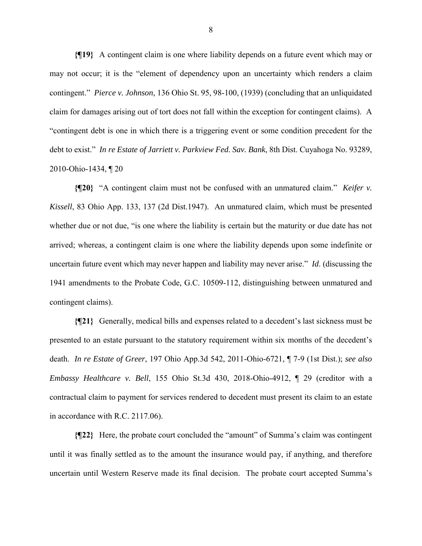**{¶19}** A contingent claim is one where liability depends on a future event which may or may not occur; it is the "element of dependency upon an uncertainty which renders a claim contingent." *Pierce v. Johnson*, 136 Ohio St. 95, 98-100, (1939) (concluding that an unliquidated claim for damages arising out of tort does not fall within the exception for contingent claims). A "contingent debt is one in which there is a triggering event or some condition precedent for the debt to exist." *In re Estate of Jarriett v. Parkview Fed. Sav. Bank*, 8th Dist. Cuyahoga No. 93289, 2010-Ohio-1434, ¶ 20

**{¶20}** "A contingent claim must not be confused with an unmatured claim." *Keifer v. Kissell*, 83 Ohio App. 133, 137 (2d Dist.1947). An unmatured claim, which must be presented whether due or not due, "is one where the liability is certain but the maturity or due date has not arrived; whereas, a contingent claim is one where the liability depends upon some indefinite or uncertain future event which may never happen and liability may never arise." *Id*. (discussing the 1941 amendments to the Probate Code, G.C. 10509-112, distinguishing between unmatured and contingent claims).

**{¶21}** Generally, medical bills and expenses related to a decedent's last sickness must be presented to an estate pursuant to the statutory requirement within six months of the decedent's death. *In re Estate of Greer*, 197 Ohio App.3d 542, 2011-Ohio-6721, ¶ 7-9 (1st Dist.); *see also Embassy Healthcare v. Bell*, 155 Ohio St.3d 430, 2018-Ohio-4912, ¶ 29 (creditor with a contractual claim to payment for services rendered to decedent must present its claim to an estate in accordance with R.C. 2117.06).

**{¶22}** Here, the probate court concluded the "amount" of Summa's claim was contingent until it was finally settled as to the amount the insurance would pay, if anything, and therefore uncertain until Western Reserve made its final decision. The probate court accepted Summa's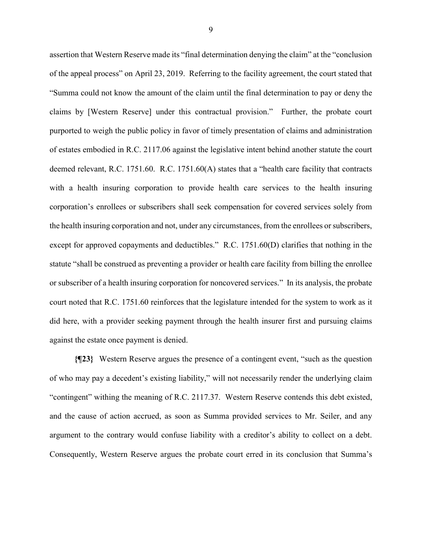assertion that Western Reserve made its "final determination denying the claim" at the "conclusion of the appeal process" on April 23, 2019. Referring to the facility agreement, the court stated that "Summa could not know the amount of the claim until the final determination to pay or deny the claims by [Western Reserve] under this contractual provision." Further, the probate court purported to weigh the public policy in favor of timely presentation of claims and administration of estates embodied in R.C. 2117.06 against the legislative intent behind another statute the court deemed relevant, R.C. 1751.60. R.C. 1751.60(A) states that a "health care facility that contracts with a health insuring corporation to provide health care services to the health insuring corporation's enrollees or subscribers shall seek compensation for covered services solely from the health insuring corporation and not, under any circumstances, from the enrollees or subscribers, except for approved copayments and deductibles." R.C. 1751.60(D) clarifies that nothing in the statute "shall be construed as preventing a provider or health care facility from billing the enrollee or subscriber of a health insuring corporation for noncovered services." In its analysis, the probate court noted that R.C. 1751.60 reinforces that the legislature intended for the system to work as it did here, with a provider seeking payment through the health insurer first and pursuing claims against the estate once payment is denied.

**{¶23}** Western Reserve argues the presence of a contingent event, "such as the question of who may pay a decedent's existing liability," will not necessarily render the underlying claim "contingent" withing the meaning of R.C. 2117.37. Western Reserve contends this debt existed, and the cause of action accrued, as soon as Summa provided services to Mr. Seiler, and any argument to the contrary would confuse liability with a creditor's ability to collect on a debt. Consequently, Western Reserve argues the probate court erred in its conclusion that Summa's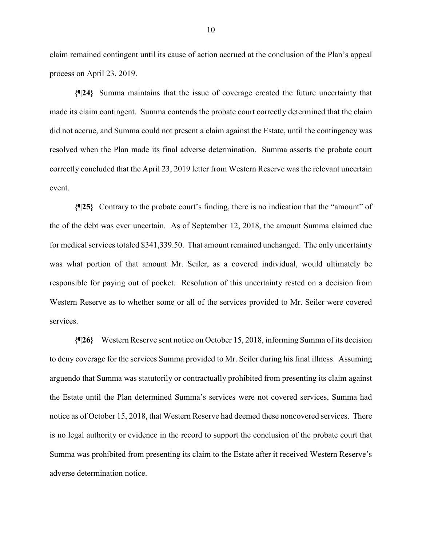claim remained contingent until its cause of action accrued at the conclusion of the Plan's appeal process on April 23, 2019.

**{¶24}** Summa maintains that the issue of coverage created the future uncertainty that made its claim contingent. Summa contends the probate court correctly determined that the claim did not accrue, and Summa could not present a claim against the Estate, until the contingency was resolved when the Plan made its final adverse determination. Summa asserts the probate court correctly concluded that the April 23, 2019 letter from Western Reserve was the relevant uncertain event.

**{¶25}** Contrary to the probate court's finding, there is no indication that the "amount" of the of the debt was ever uncertain. As of September 12, 2018, the amount Summa claimed due for medical services totaled \$341,339.50. That amount remained unchanged. The only uncertainty was what portion of that amount Mr. Seiler, as a covered individual, would ultimately be responsible for paying out of pocket. Resolution of this uncertainty rested on a decision from Western Reserve as to whether some or all of the services provided to Mr. Seiler were covered services.

**{¶26}** Western Reserve sent notice on October 15, 2018, informing Summa of its decision to deny coverage for the services Summa provided to Mr. Seiler during his final illness. Assuming arguendo that Summa was statutorily or contractually prohibited from presenting its claim against the Estate until the Plan determined Summa's services were not covered services, Summa had notice as of October 15, 2018, that Western Reserve had deemed these noncovered services. There is no legal authority or evidence in the record to support the conclusion of the probate court that Summa was prohibited from presenting its claim to the Estate after it received Western Reserve's adverse determination notice.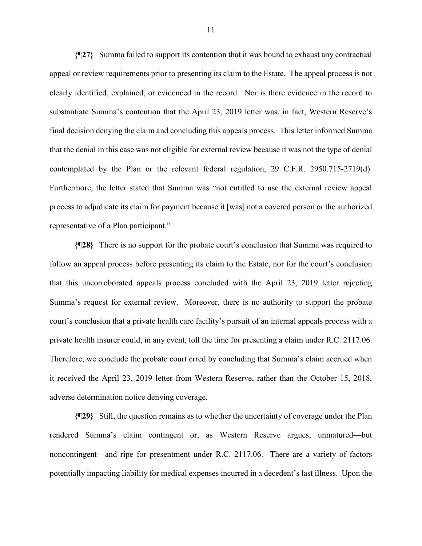**{¶27}** Summa failed to support its contention that it was bound to exhaust any contractual appeal or review requirements prior to presenting its claim to the Estate. The appeal process is not clearly identified, explained, or evidenced in the record. Nor is there evidence in the record to substantiate Summa's contention that the April 23, 2019 letter was, in fact, Western Reserve's final decision denying the claim and concluding this appeals process. This letter informed Summa that the denial in this case was not eligible for external review because it was not the type of denial contemplated by the Plan or the relevant federal regulation, 29 C.F.R. 2950.715-2719(d). Furthermore, the letter stated that Summa was "not entitled to use the external review appeal process to adjudicate its claim for payment because it [was] not a covered person or the authorized representative of a Plan participant."

**{¶28}** There is no support for the probate court's conclusion that Summa was required to follow an appeal process before presenting its claim to the Estate, nor for the court's conclusion that this uncorroborated appeals process concluded with the April 23, 2019 letter rejecting Summa's request for external review. Moreover, there is no authority to support the probate court's conclusion that a private health care facility's pursuit of an internal appeals process with a private health insurer could, in any event, toll the time for presenting a claim under R.C. 2117.06. Therefore, we conclude the probate court erred by concluding that Summa's claim accrued when it received the April 23, 2019 letter from Western Reserve, rather than the October 15, 2018, adverse determination notice denying coverage.

**{¶29}** Still, the question remains as to whether the uncertainty of coverage under the Plan rendered Summa's claim contingent or, as Western Reserve argues, unmatured—but noncontingent—and ripe for presentment under R.C. 2117.06. There are a variety of factors potentially impacting liability for medical expenses incurred in a decedent's last illness. Upon the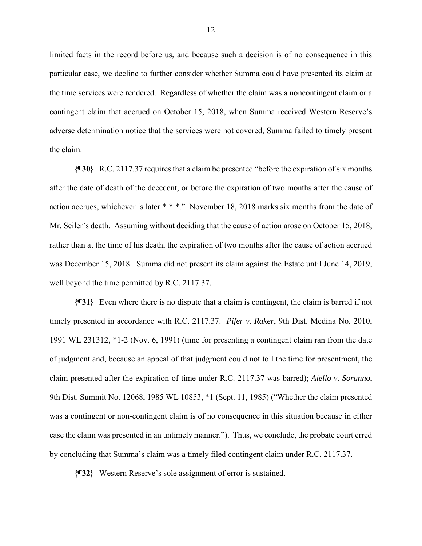limited facts in the record before us, and because such a decision is of no consequence in this particular case, we decline to further consider whether Summa could have presented its claim at the time services were rendered. Regardless of whether the claim was a noncontingent claim or a contingent claim that accrued on October 15, 2018, when Summa received Western Reserve's adverse determination notice that the services were not covered, Summa failed to timely present the claim.

**{¶30}** R.C. 2117.37 requires that a claim be presented "before the expiration of six months after the date of death of the decedent, or before the expiration of two months after the cause of action accrues, whichever is later \* \* \*." November 18, 2018 marks six months from the date of Mr. Seiler's death. Assuming without deciding that the cause of action arose on October 15, 2018, rather than at the time of his death, the expiration of two months after the cause of action accrued was December 15, 2018. Summa did not present its claim against the Estate until June 14, 2019, well beyond the time permitted by R.C. 2117.37.

**{¶31}** Even where there is no dispute that a claim is contingent, the claim is barred if not timely presented in accordance with R.C. 2117.37. *Pifer v. Raker*, 9th Dist. Medina No. 2010, 1991 WL 231312, \*1-2 (Nov. 6, 1991) (time for presenting a contingent claim ran from the date of judgment and, because an appeal of that judgment could not toll the time for presentment, the claim presented after the expiration of time under R.C. 2117.37 was barred); *Aiello v. Soranno*, 9th Dist. Summit No. 12068, 1985 WL 10853, \*1 (Sept. 11, 1985) ("Whether the claim presented was a contingent or non-contingent claim is of no consequence in this situation because in either case the claim was presented in an untimely manner."). Thus, we conclude, the probate court erred by concluding that Summa's claim was a timely filed contingent claim under R.C. 2117.37.

**{¶32}** Western Reserve's sole assignment of error is sustained.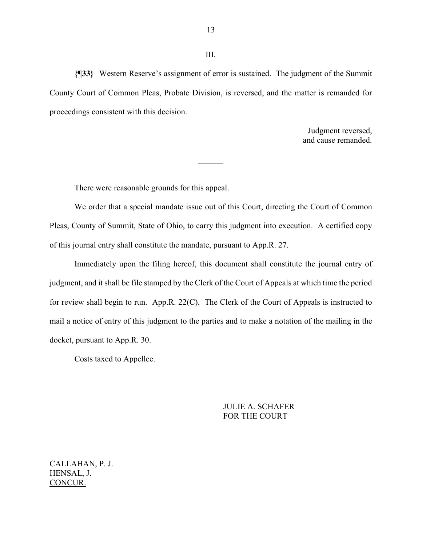**{¶33}** Western Reserve's assignment of error is sustained. The judgment of the Summit County Court of Common Pleas, Probate Division, is reversed, and the matter is remanded for proceedings consistent with this decision.

 $\overline{a}$ 

Judgment reversed, and cause remanded.

There were reasonable grounds for this appeal.

 We order that a special mandate issue out of this Court, directing the Court of Common Pleas, County of Summit, State of Ohio, to carry this judgment into execution. A certified copy of this journal entry shall constitute the mandate, pursuant to App.R. 27.

 Immediately upon the filing hereof, this document shall constitute the journal entry of judgment, and it shall be file stamped by the Clerk of the Court of Appeals at which time the period for review shall begin to run. App.R. 22(C). The Clerk of the Court of Appeals is instructed to mail a notice of entry of this judgment to the parties and to make a notation of the mailing in the docket, pursuant to App.R. 30.

Costs taxed to Appellee.

 JULIE A. SCHAFER FOR THE COURT

CALLAHAN, P. J. HENSAL, J. CONCUR.

III.